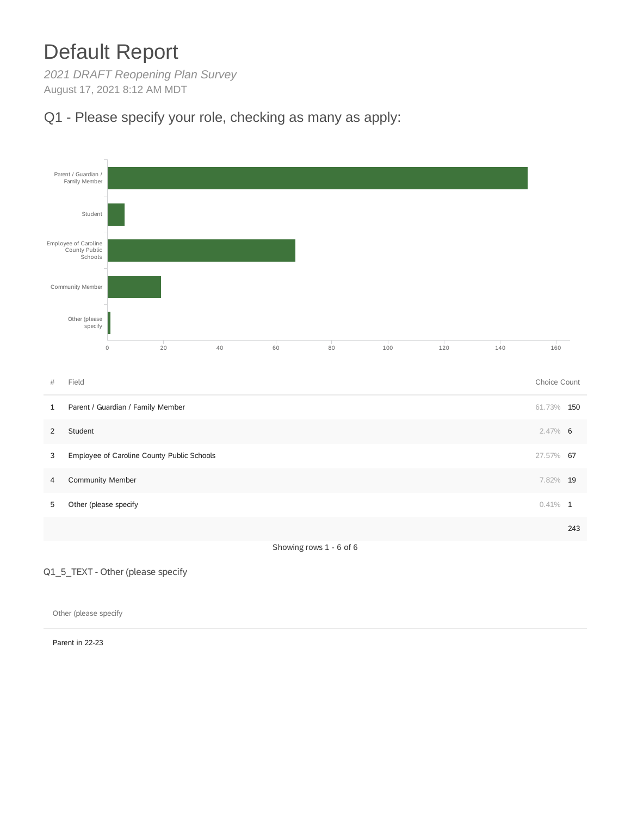# Default Report

*2021 DRAFT Reopening Plan Survey* August 17, 2021 8:12 AM MDT

## Q1 - Please specify your role, checking as many as apply:



Q1\_5\_TEXT - Other (please specify

Other (please specify

Parent in 22-23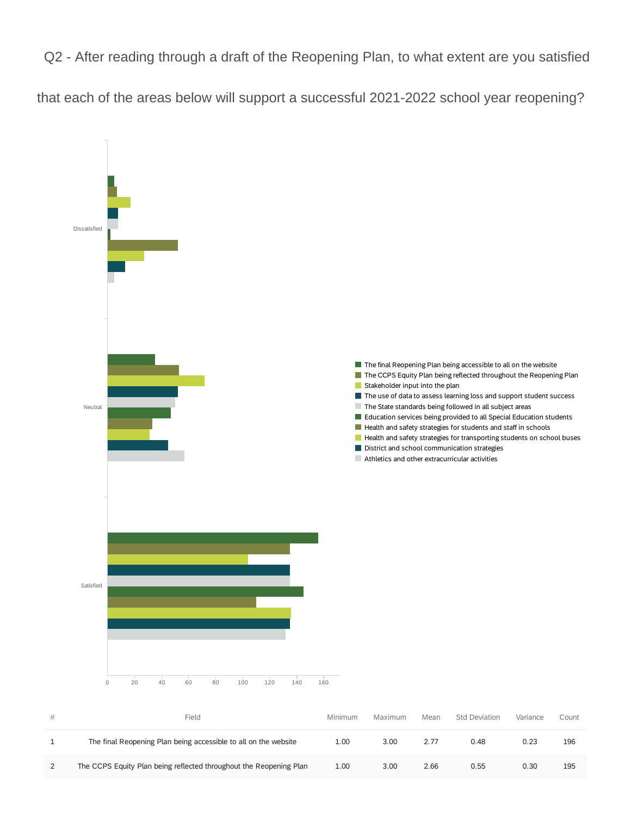Q2 - After reading through a draft of the Reopening Plan, to what extent are you satisfied

that each of the areas below will support a successful 2021-2022 school year reopening?



| # | Field                                                              | Minimum | Maximum | Mean | Std Deviation | Variance | Count |
|---|--------------------------------------------------------------------|---------|---------|------|---------------|----------|-------|
|   | The final Reopening Plan being accessible to all on the website    | 1.00    | 3.00    | 2.77 | 0.48          | 0.23     | 196   |
|   | The CCPS Equity Plan being reflected throughout the Reopening Plan | 1.00    | 3.00    | 2.66 | 0.55          | 0.30     | 195   |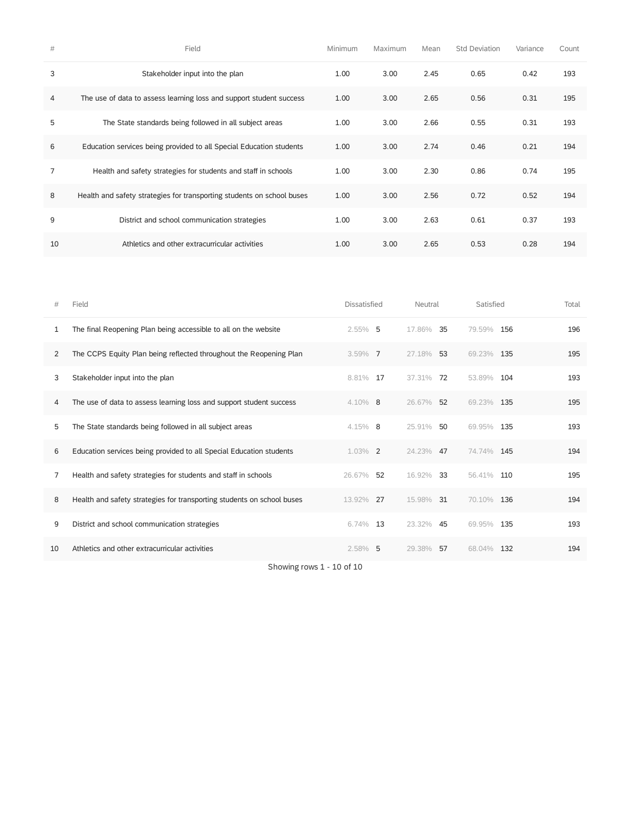| #              | Field                                                                  | Minimum | Maximum | Mean | <b>Std Deviation</b> | Variance | Count |
|----------------|------------------------------------------------------------------------|---------|---------|------|----------------------|----------|-------|
| 3              | Stakeholder input into the plan                                        | 1.00    | 3.00    | 2.45 | 0.65                 | 0.42     | 193   |
| $\overline{4}$ | The use of data to assess learning loss and support student success    | 1.00    | 3.00    | 2.65 | 0.56                 | 0.31     | 195   |
| 5              | The State standards being followed in all subject areas                | 1.00    | 3.00    | 2.66 | 0.55                 | 0.31     | 193   |
| 6              | Education services being provided to all Special Education students    | 1.00    | 3.00    | 2.74 | 0.46                 | 0.21     | 194   |
| $\overline{7}$ | Health and safety strategies for students and staff in schools         | 1.00    | 3.00    | 2.30 | 0.86                 | 0.74     | 195   |
| 8              | Health and safety strategies for transporting students on school buses | 1.00    | 3.00    | 2.56 | 0.72                 | 0.52     | 194   |
| 9              | District and school communication strategies                           | 1.00    | 3.00    | 2.63 | 0.61                 | 0.37     | 193   |
| 10             | Athletics and other extracurricular activities                         | 1.00    | 3.00    | 2.65 | 0.53                 | 0.28     | 194   |

| #  | Field                                                                  | Dissatisfied | Neutral      | Satisfied     | Total |
|----|------------------------------------------------------------------------|--------------|--------------|---------------|-------|
| 1  | The final Reopening Plan being accessible to all on the website        | $2.55\%$ 5   | 35<br>17.86% | 79.59% 156    | 196   |
| 2  | The CCPS Equity Plan being reflected throughout the Reopening Plan     | $3.59\%$ 7   | 27.18% 53    | 69.23% 135    | 195   |
| 3  | Stakeholder input into the plan                                        | 8.81% 17     | 37.31%<br>72 | 104<br>53.89% | 193   |
| 4  | The use of data to assess learning loss and support student success    | $4.10\%$ 8   | 26.67% 52    | 69.23% 135    | 195   |
| 5  | The State standards being followed in all subject areas                | $4.15\%$ 8   | 25.91%<br>50 | 135<br>69.95% | 193   |
| 6  | Education services being provided to all Special Education students    | 1.03% 2      | 24.23%<br>47 | 74.74% 145    | 194   |
| 7  | Health and safety strategies for students and staff in schools         | 52<br>26.67% | 16.92%<br>33 | 56.41% 110    | 195   |
| 8  | Health and safety strategies for transporting students on school buses | 13.92%<br>27 | 15.98%<br>31 | 70.10% 136    | 194   |
| 9  | District and school communication strategies                           | 13<br>6.74%  | 23.32%<br>45 | 135<br>69.95% | 193   |
| 10 | Athletics and other extracurricular activities                         | 2.58%<br>-5  | 29.38%<br>57 | 132<br>68.04% | 194   |

Showing rows 1 - 10 of 10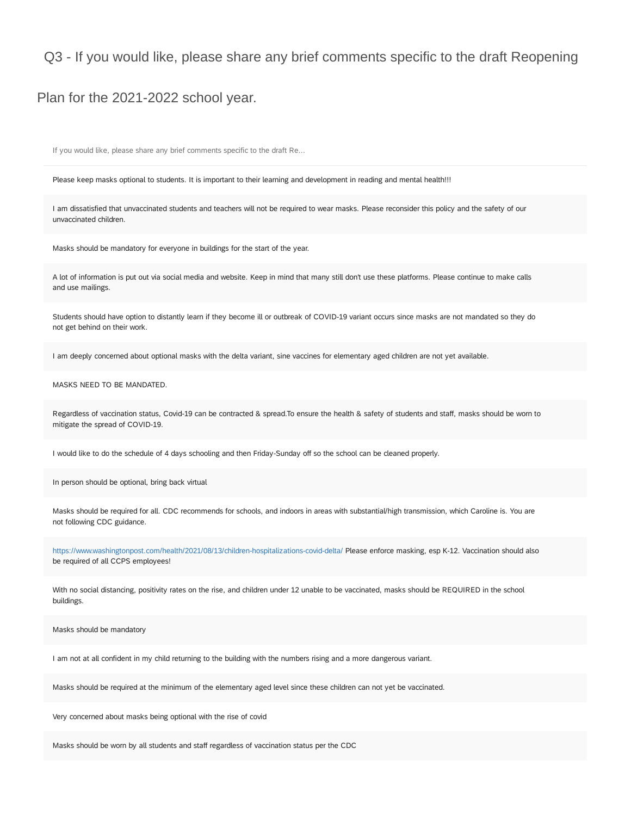### Q3 - If you would like, please share any brief comments specific to the draft Reopening

#### Plan for the 2021-2022 school year.

If you would like, please share any brief comments specific to the draft Re...

Please keep masks optional to students. It is important to their learning and development in reading and mental health!!!

I am dissatisfied that unvaccinated students and teachers will not be required to wear masks. Please reconsider this policy and the safety of our unvaccinated children.

Masks should be mandatory for everyone in buildings for the start of the year.

A lot of information is put out via social media and website. Keep in mind that many still don't use these platforms. Please continue to make calls and use mailings.

Students should have option to distantly learn if they become ill or outbreak of COVID-19 variant occurs since masks are not mandated so they do not get behind on their work.

I am deeply concerned about optional masks with the delta variant, sine vaccines for elementary aged children are not yet available.

#### MASKS NEED TO BE MANDATED.

Regardless of vaccination status, Covid-19 can be contracted & spread.To ensure the health & safety of students and staff, masks should be worn to mitigate the spread of COVID-19.

I would like to do the schedule of 4 days schooling and then Friday-Sunday off so the school can be cleaned properly.

In person should be optional, bring back virtual

Masks should be required for all. CDC recommends for schools, and indoors in areas with substantial/high transmission, which Caroline is. You are not following CDC guidance.

<https://www.washingtonpost.com/health/2021/08/13/children-hospitalizations-covid-delta/> Please enforce masking, esp K-12. Vaccination should also be required of all CCPS employees!

With no social distancing, positivity rates on the rise, and children under 12 unable to be vaccinated, masks should be REQUIRED in the school buildings.

Masks should be mandatory

I am not at all confident in my child returning to the building with the numbers rising and a more dangerous variant.

Masks should be required at the minimum of the elementary aged level since these children can not yet be vaccinated.

Very concerned about masks being optional with the rise of covid

Masks should be worn by all students and staff regardless of vaccination status per the CDC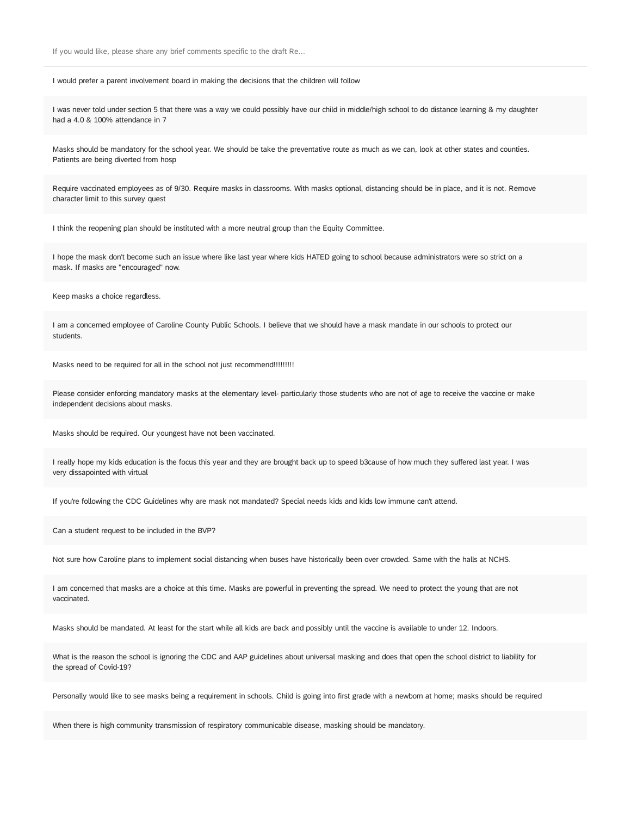If you would like, please share any brief comments specific to the draft Re...

I would prefer a parent involvement board in making the decisions that the children will follow

I was never told under section 5 that there was a way we could possibly have our child in middle/high school to do distance learning & my daughter had a 4.0 & 100% attendance in 7

Masks should be mandatory for the school year. We should be take the preventative route as much as we can, look at other states and counties. Patients are being diverted from hosp

Require vaccinated employees as of 9/30. Require masks in classrooms. With masks optional, distancing should be in place, and it is not. Remove character limit to this survey quest

I think the reopening plan should be instituted with a more neutral group than the Equity Committee.

I hope the mask don't become such an issue where like last year where kids HATED going to school because administrators were so strict on a mask. If masks are "encouraged" now.

Keep masks a choice regardless.

I am a concerned employee of Caroline County Public Schools. I believe that we should have a mask mandate in our schools to protect our students.

Masks need to be required for all in the school not just recommend!!!!!!!!!!

Please consider enforcing mandatory masks at the elementary level- particularly those students who are not of age to receive the vaccine or make independent decisions about masks.

Masks should be required. Our youngest have not been vaccinated.

I really hope my kids education is the focus this year and they are brought back up to speed b3cause of how much they suffered last year. I was very dissapointed with virtual

If you're following the CDC Guidelines why are mask not mandated? Special needs kids and kids low immune can't attend.

Can a student request to be included in the BVP?

Not sure how Caroline plans to implement social distancing when buses have historically been over crowded. Same with the halls at NCHS.

I am concerned that masks are a choice at this time. Masks are powerful in preventing the spread. We need to protect the young that are not vaccinated.

Masks should be mandated. At least for the start while all kids are back and possibly until the vaccine is available to under 12. Indoors.

What is the reason the school is ignoring the CDC and AAP guidelines about universal masking and does that open the school district to liability for the spread of Covid-19?

Personally would like to see masks being a requirement in schools. Child is going into first grade with a newborn at home; masks should be required

When there is high community transmission of respiratory communicable disease, masking should be mandatory.